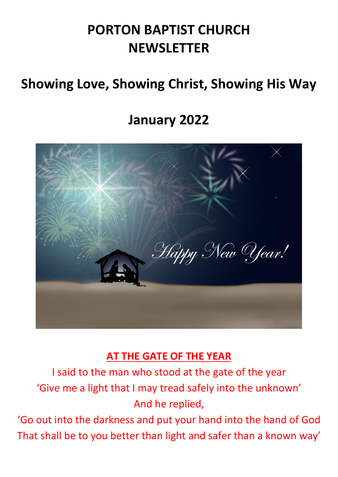# **PORTON BAPTIST CHURCH NEWSLETTER**

# **Showing Love, Showing Christ, Showing His Way**

# **January 2022**



## **AT THE GATE OF THE YEAR**

I said to the man who stood at the gate of the year 'Give me a light that I may tread safely into the unknown' And he replied,

'Go out into the darkness and put your hand into the hand of God That shall be to you better than light and safer than a known way'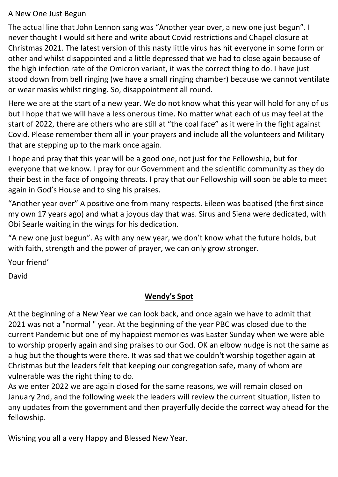#### A New One Just Begun

The actual line that John Lennon sang was "Another year over, a new one just begun". I never thought I would sit here and write about Covid restrictions and Chapel closure at Christmas 2021. The latest version of this nasty little virus has hit everyone in some form or other and whilst disappointed and a little depressed that we had to close again because of the high infection rate of the Omicron variant, it was the correct thing to do. I have just stood down from bell ringing (we have a small ringing chamber) because we cannot ventilate or wear masks whilst ringing. So, disappointment all round.

Here we are at the start of a new year. We do not know what this year will hold for any of us but I hope that we will have a less onerous time. No matter what each of us may feel at the start of 2022, there are others who are still at "the coal face" as it were in the fight against Covid. Please remember them all in your prayers and include all the volunteers and Military that are stepping up to the mark once again.

I hope and pray that this year will be a good one, not just for the Fellowship, but for everyone that we know. I pray for our Government and the scientific community as they do their best in the face of ongoing threats. I pray that our Fellowship will soon be able to meet again in God's House and to sing his praises.

"Another year over" A positive one from many respects. Eileen was baptised (the first since my own 17 years ago) and what a joyous day that was. Sirus and Siena were dedicated, with Obi Searle waiting in the wings for his dedication.

"A new one just begun". As with any new year, we don't know what the future holds, but with faith, strength and the power of prayer, we can only grow stronger.

Your friend'

David

### **Wendy's Spot**

At the beginning of a New Year we can look back, and once again we have to admit that 2021 was not a "normal " year. At the beginning of the year PBC was closed due to the current Pandemic but one of my happiest memories was Easter Sunday when we were able to worship properly again and sing praises to our God. OK an elbow nudge is not the same as a hug but the thoughts were there. It was sad that we couldn't worship together again at Christmas but the leaders felt that keeping our congregation safe, many of whom are vulnerable was the right thing to do.

As we enter 2022 we are again closed for the same reasons, we will remain closed on January 2nd, and the following week the leaders will review the current situation, listen to any updates from the government and then prayerfully decide the correct way ahead for the fellowship.

Wishing you all a very Happy and Blessed New Year.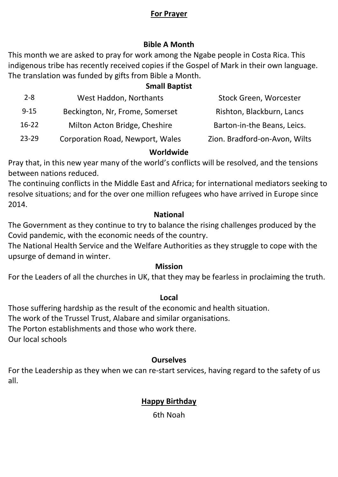#### **For Prayer**

#### **Bible A Month**

This month we are asked to pray for work among the Ngabe people in Costa Rica. This indigenous tribe has recently received copies if the Gospel of Mark in their own language. The translation was funded by gifts from Bible a Month.

#### **Small Baptist**

| $2 - 8$   | West Haddon, Northants           | Stock Green, Worcester        |
|-----------|----------------------------------|-------------------------------|
| $9 - 15$  | Beckington, Nr, Frome, Somerset  | Rishton, Blackburn, Lancs     |
| $16-22$   | Milton Acton Bridge, Cheshire    | Barton-in-the Beans, Leics.   |
| $23 - 29$ | Corporation Road, Newport, Wales | Zion. Bradford-on-Avon, Wilts |

#### **Worldwide**

Pray that, in this new year many of the world's conflicts will be resolved, and the tensions between nations reduced.

The continuing conflicts in the Middle East and Africa; for international mediators seeking to resolve situations; and for the over one million refugees who have arrived in Europe since 2014.

#### **National**

The Government as they continue to try to balance the rising challenges produced by the Covid pandemic, with the economic needs of the country.

The National Health Service and the Welfare Authorities as they struggle to cope with the upsurge of demand in winter.

#### **Mission**

For the Leaders of all the churches in UK, that they may be fearless in proclaiming the truth.

#### **Local**

Those suffering hardship as the result of the economic and health situation.

The work of the Trussel Trust, Alabare and similar organisations.

The Porton establishments and those who work there.

Our local schools

#### **Ourselves**

For the Leadership as they when we can re-start services, having regard to the safety of us all.

### **Happy Birthday**

6th Noah